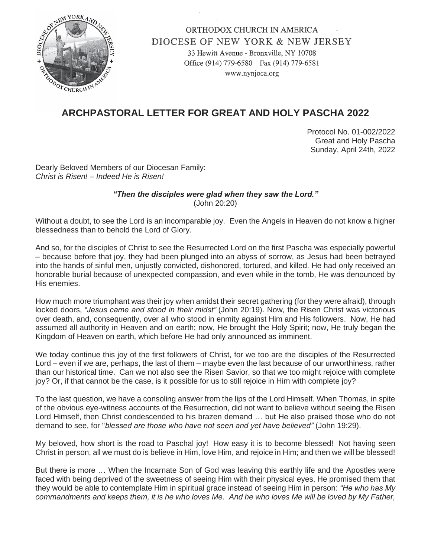

## ORTHODOX CHURCH IN AMERICA DIOCESE OF NEW YORK & NEW JERSEY

33 Hewitt Avenue - Bronxville, NY 10708 Office (914) 779-6580 Fax (914) 779-6581 www.nynjoca.org

## **ARCHPASTORAL LETTER FOR GREAT AND HOLY PASCHA 2022**

Protocol No. 01-002/2022 Great and Holy Pascha Sunday, April 24th, 2022

Dearly Beloved Members of our Diocesan Family: *Christ is Risen! – Indeed He is Risen!*

> *"Then the disciples were glad when they saw the Lord."* (John 20:20)

Without a doubt, to see the Lord is an incomparable joy. Even the Angels in Heaven do not know a higher blessedness than to behold the Lord of Glory.

And so, for the disciples of Christ to see the Resurrected Lord on the first Pascha was especially powerful – because before that joy, they had been plunged into an abyss of sorrow, as Jesus had been betrayed into the hands of sinful men, unjustly convicted, dishonored, tortured, and killed. He had only received an honorable burial because of unexpected compassion, and even while in the tomb, He was denounced by His enemies.

How much more triumphant was their joy when amidst their secret gathering (for they were afraid), through locked doors, *"Jesus came and stood in their midst"* (John 20:19). Now, the Risen Christ was victorious over death, and, consequently, over all who stood in enmity against Him and His followers. Now, He had assumed all authority in Heaven and on earth; now, He brought the Holy Spirit; now, He truly began the Kingdom of Heaven on earth, which before He had only announced as imminent.

We today continue this joy of the first followers of Christ, for we too are the disciples of the Resurrected Lord – even if we are, perhaps, the last of them – maybe even the last because of our unworthiness, rather than our historical time. Can we not also see the Risen Savior, so that we too might rejoice with complete joy? Or, if that cannot be the case, is it possible for us to still rejoice in Him with complete joy?

To the last question, we have a consoling answer from the lips of the Lord Himself. When Thomas, in spite of the obvious eye-witness accounts of the Resurrection, did not want to believe without seeing the Risen Lord Himself, then Christ condescended to his brazen demand … but He also praised those who do not demand to see, for "*blessed are those who have not seen and yet have believed"* (John 19:29).

My beloved, how short is the road to Paschal joy! How easy it is to become blessed! Not having seen Christ in person, all we must do is believe in Him, love Him, and rejoice in Him; and then we will be blessed!

But there is more … When the Incarnate Son of God was leaving this earthly life and the Apostles were faced with being deprived of the sweetness of seeing Him with their physical eyes, He promised them that they would be able to contemplate Him in spiritual grace instead of seeing Him in person: *"He who has My commandments and keeps them, it is he who loves Me. And he who loves Me will be loved by My Father,*